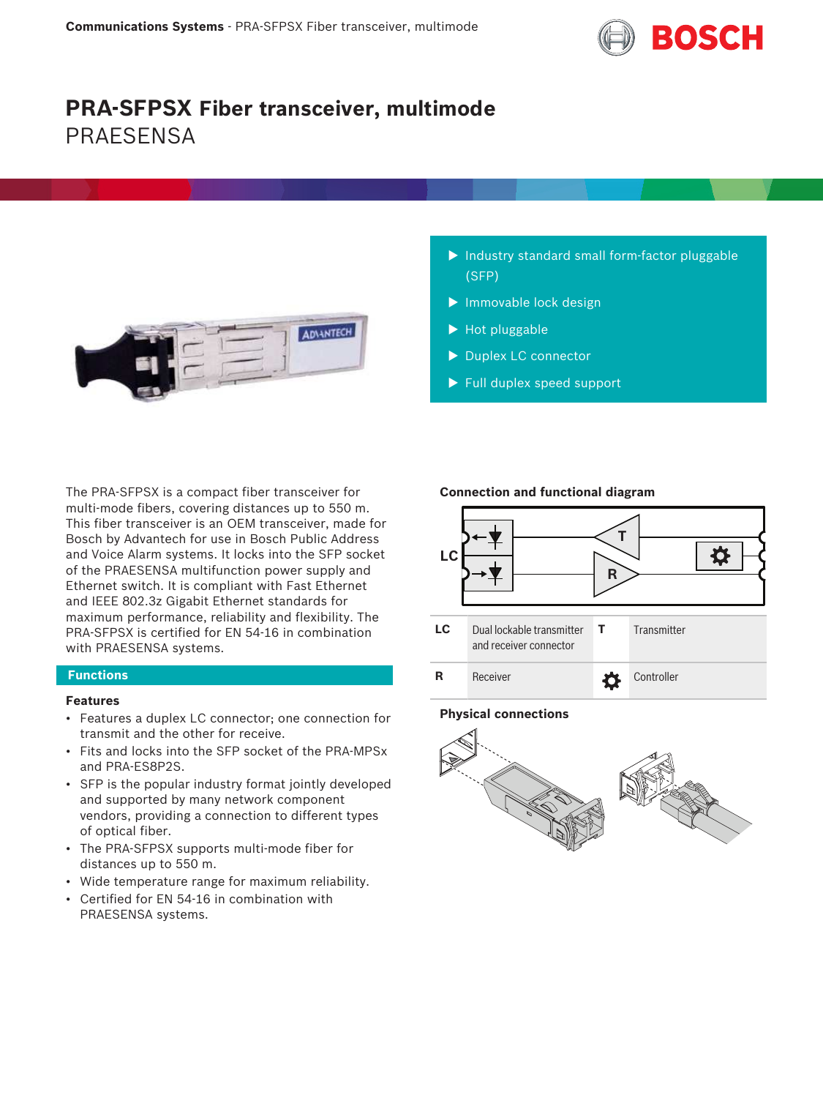

# **PRA-SFPSX Fiber transceiver, multimode PRAFSENSA**



- $\blacktriangleright$  Industry standard small form-factor pluggable (SFP)
- $\blacktriangleright$  Immovable lock design
- $\blacktriangleright$  Hot pluggable
- Duplex LC connector
- $\blacktriangleright$  Full duplex speed support

The PRA-SFPSX is a compact fiber transceiver for multi-mode fibers, covering distances up to 550 m. This fiber transceiver is an OEM transceiver, made for Bosch by Advantech for use in Bosch Public Address and Voice Alarm systems. It locks into the SFP socket of the PRAESENSA multifunction power supply and Ethernet switch. It is compliant with Fast Ethernet and IEEE 802.3z Gigabit Ethernet standards for maximum performance, reliability and flexibility. The PRA-SFPSX is certified for EN 54‑16 in combination with PRAESENSA systems.

### **Functions**

# **Features**

- Features a duplex LC connector; one connection for transmit and the other for receive.
- Fits and locks into the SFP socket of the PRA-MPSx and PRA-ES8P2S.
- SFP is the popular industry format jointly developed and supported by many network component vendors, providing a connection to different types of optical fiber.
- The PRA-SFPSX supports multi-mode fiber for distances up to 550 m.
- Wide temperature range for maximum reliability.
- Certified for EN 54‑16 in combination with PRAESENSA systems.

#### **Connection and functional diagram**



#### **Physical connections**

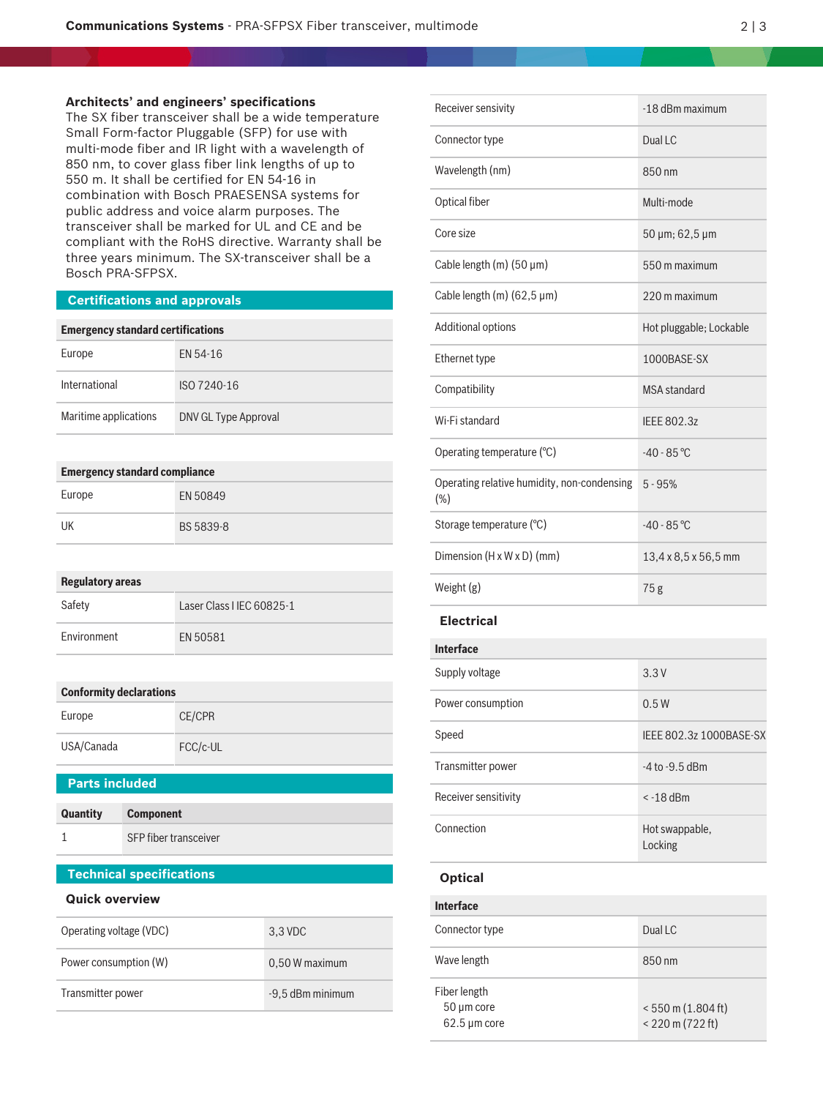### **Architects' and engineers' specifications**

The SX fiber transceiver shall be a wide temperature Small Form-factor Pluggable (SFP) for use with multi-mode fiber and IR light with a wavelength of 850 nm, to cover glass fiber link lengths of up to 550 m. It shall be certified for EN 54‑16 in combination with Bosch PRAESENSA systems for public address and voice alarm purposes. The transceiver shall be marked for UL and CE and be compliant with the RoHS directive. Warranty shall be three years minimum. The SX-transceiver shall be a Bosch PRA-SFPSX.

#### **Certifications and approvals**

#### **Emergency standard certifications**

| Europe                | EN 54-16             |
|-----------------------|----------------------|
| International         | ISO 7240-16          |
| Maritime applications | DNV GL Type Approval |

#### **Emergency standard compliance**

| Europe | EN 50849  |
|--------|-----------|
| UK     | BS 5839-8 |

#### **Regulatory areas**

| Safety      | Laser Class I IEC 60825-1 |
|-------------|---------------------------|
| Environment | EN 50581                  |

#### **Conformity declarations**

| Europe     | CE/CPR   |
|------------|----------|
| USA/Canada | FCC/c-UL |

### **Parts included**

| Quantity | <b>Component</b>      |
|----------|-----------------------|
|          | SFP fiber transceiver |

# **Technical specifications**

#### **Quick overview**

| Operating voltage (VDC) | 3.3 VDC          |
|-------------------------|------------------|
| Power consumption (W)   | 0,50 W maximum   |
| Transmitter power       | -9,5 dBm minimum |

| Receiver sensivity                                    | -18 dBm maximum           |  |
|-------------------------------------------------------|---------------------------|--|
| Connector type                                        | Dual LC                   |  |
| Wavelength (nm)                                       | 850 nm                    |  |
| Optical fiber                                         | Multi-mode                |  |
| Core size                                             | 50 µm; 62,5 µm            |  |
| Cable length (m) $(50 \mu m)$                         | 550 m maximum             |  |
| Cable length (m) $(62,5 \,\mu m)$                     | 220 m maximum             |  |
| Additional options                                    | Hot pluggable; Lockable   |  |
| Ethernet type                                         | 1000BASE-SX               |  |
| Compatibility                                         | <b>MSA</b> standard       |  |
| Wi-Fi standard                                        | <b>IEEE 802.3z</b>        |  |
| Operating temperature (°C)                            | $-40 - 85$ °C             |  |
| Operating relative humidity, non-condensing<br>$(\%)$ | $5 - 95%$                 |  |
| Storage temperature (°C)                              | $-40 - 85$ °C             |  |
| Dimension (H x W x D) (mm)                            | 13,4 x 8,5 x 56,5 mm      |  |
| Weight (g)                                            | 75g                       |  |
| <b>Electrical</b>                                     |                           |  |
| <b>Interface</b>                                      |                           |  |
| Supply voltage                                        | 3.3V                      |  |
| Power consumption                                     | 0.5W                      |  |
| Speed                                                 | IEEE 802.3z 1000BASE-SX   |  |
| Transmitter power                                     | -4 to -9.5 dBm            |  |
| Receiver sensitivity                                  | < -18 dBm                 |  |
| Connection                                            | Hot swappable,<br>Locking |  |
| <b>Optical</b>                                        |                           |  |
| <b>Interface</b>                                      |                           |  |
| Connector type                                        | Dual LC                   |  |

Wave length 850 nm

< 550 m (1.804 ft) < 220 m (722 ft)

Fiber length 50 µm core 62.5 µm core